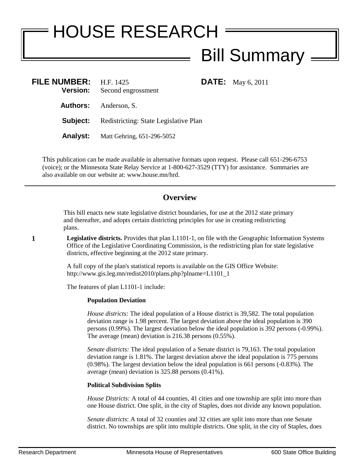# HOUSE RESEARCH **Bill Summary -**

**FILE:** May 6, 2011

| <b>FILE NUMBER:</b><br><b>Version:</b> | H.F. 1425<br>Second engrossment       |
|----------------------------------------|---------------------------------------|
|                                        | <b>Authors:</b> Anderson, S.          |
| Subject:                               | Redistricting: State Legislative Plan |
| Analyst:                               | Matt Gehring, 651-296-5052            |

This publication can be made available in alternative formats upon request. Please call 651-296-6753 (voice); or the Minnesota State Relay Service at 1-800-627-3529 (TTY) for assistance. Summaries are also available on our website at: www.house.mn/hrd.

# **Overview**

This bill enacts new state legislative district boundaries, for use at the 2012 state primary and thereafter, and adopts certain districting principles for use in creating redistricting plans.

**1 Legislative districts.** Provides that plan L1101-1, on file with the Geographic Information Systems Office of the Legislative Coordinating Commission, is the redistricting plan for state legislative districts, effective beginning at the 2012 state primary.

> A full copy of the plan's statistical reports is available on the GIS Office Website: http://www.gis.leg.mn/redist2010/plans.php?plname=L1101\_1

The features of plan L1101-1 include:

## **Population Deviation**

*House districts:* The ideal population of a House district is 39,582. The total population deviation range is 1.98 percent. The largest deviation above the ideal population is 390 persons (0.99%). The largest deviation below the ideal population is 392 persons (-0.99%). The average (mean) deviation is 216.38 persons (0.55%).

*Senate districts:* The ideal population of a Senate district is 79,163. The total population deviation range is 1.81%. The largest deviation above the ideal population is 775 persons (0.98%). The largest deviation below the ideal population is 661 persons (-0.83%). The average (mean) deviation is 325.88 persons (0.41%).

## **Political Subdivision Splits**

*House Districts:* A total of 44 counties, 41 cities and one township are split into more than one House district. One split, in the city of Staples, does not divide any known population.

*Senate districts*: A total of 32 counties and 32 cities are split into more than one Senate district. No townships are split into multiple districts. One split, in the city of Staples, does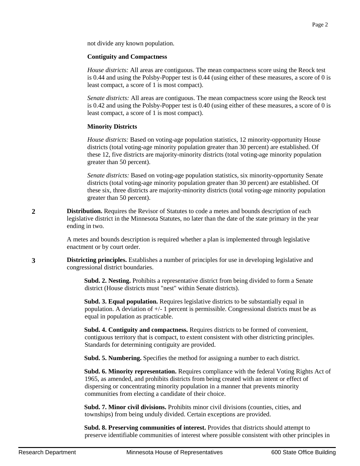#### **Contiguity and Compactness**

*House districts:* All areas are contiguous. The mean compactness score using the Reock test is 0.44 and using the Polsby-Popper test is 0.44 (using either of these measures, a score of 0 is least compact, a score of 1 is most compact).

*Senate districts:* All areas are contiguous. The mean compactness score using the Reock test is 0.42 and using the Polsby-Popper test is 0.40 (using either of these measures, a score of 0 is least compact, a score of 1 is most compact).

#### **Minority Districts**

*House districts:* Based on voting-age population statistics, 12 minority-opportunity House districts (total voting-age minority population greater than 30 percent) are established. Of these 12, five districts are majority-minority districts (total voting-age minority population greater than 50 percent).

*Senate districts:* Based on voting-age population statistics, six minority-opportunity Senate districts (total voting-age minority population greater than 30 percent) are established. Of these six, three districts are majority-minority districts (total voting-age minority population greater than 50 percent).

**2 Distribution.** Requires the Revisor of Statutes to code a metes and bounds description of each legislative district in the Minnesota Statutes, no later than the date of the state primary in the year ending in two.

> A metes and bounds description is required whether a plan is implemented through legislative enactment or by court order.

**3 Districting principles.** Establishes a number of principles for use in developing legislative and congressional district boundaries.

> **Subd. 2. Nesting.** Prohibits a representative district from being divided to form a Senate district (House districts must "nest" within Senate districts).

**Subd. 3. Equal population.** Requires legislative districts to be substantially equal in population. A deviation of  $+/-1$  percent is permissible. Congressional districts must be as equal in population as practicable.

**Subd. 4. Contiguity and compactness.** Requires districts to be formed of convenient, contiguous territory that is compact, to extent consistent with other districting principles. Standards for determining contiguity are provided.

**Subd. 5. Numbering.** Specifies the method for assigning a number to each district.

**Subd. 6. Minority representation.** Requires compliance with the federal Voting Rights Act of 1965, as amended, and prohibits districts from being created with an intent or effect of dispersing or concentrating minority population in a manner that prevents minority communities from electing a candidate of their choice.

**Subd. 7. Minor civil divisions.** Prohibits minor civil divisions (counties, cities, and townships) from being unduly divided. Certain exceptions are provided.

**Subd. 8. Preserving communities of interest.** Provides that districts should attempt to preserve identifiable communities of interest where possible consistent with other principles in